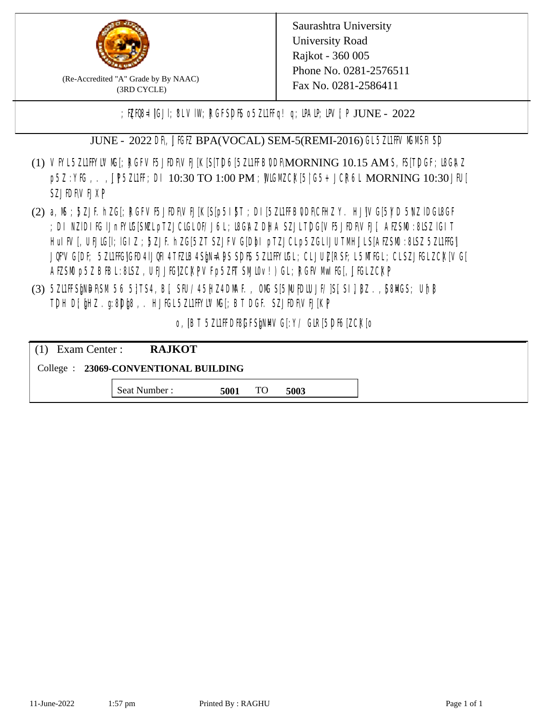

(Re-Accredited "A" Grade by By NAAC) (3RD CYCLE)

Saurashtra University University Road Rajkot - 360 005 Phone No. 0281-2576511 Fax No. 0281-2586411

;  $E[R\mathcal{B} = \text{[GJI]}$ ;  $8LV\mathcal{I}W$ ;  $RGFSD\mathcal{B}$  o  $5Z\mathcal{I}HF q$  ! q;  $\mathcal{I}MP$ ;  $\mathcal{I}W$ ;  $P$  JUNE - 2022

JUNE - 2022 DR, JIGIZ BPA(VOCAL) SEM-5(REMI-2016) GL 5ZLIFIVM MSH SD

- (1) VFYL5Z11FFYLVMC[; RGFVF5JEDF\VEJ[K[S[T]D6[5Z11FFB0DF\MORNING 10.15 AM S, IS[T]DGF; I8G\AZ p5Z : YKG, . , UP5ZL1FF; DI 10:30 TO 1:00 PM ; WCGM CK[5| G5+ JCR6L MORNING 10:30 JFU[ **SZJENVEJXP**
- (2) a, M ; BZJE hZG[; RGFVE5JIDF\VEJ[K[S[p5I]\$T ; DI[5ZI1IFB\DDF\CHIZ Y. HJ]\VG[5|YD 5\VZ lDGI8GF ; DI NZIDI IG IJnFYIG[SML pTZJCIGLOF/J6L; I8GAZ DHA SZJLTDG[VF5JIDF\VEJ[, AEZSM0 :8LSZ IGIT HuIFV[, UEJG[]; IGIZ ; 5ZJF. hZG[5ZT SZJFVG[DbI pTZJCLp5ZGLIJUTMHJLS[AEZSM0 :8LSZ 5Z11HG] JQFVG[DF; 5Z11HG]GED4 LJQH 4 TEZIB4 SEN= APS SDES 5Z11 HYIGL ;CL JUL [RSF;L 5MTGL ;CL SZJFGL ZCK[ VG[ AESM p5Z BBL:8LSZ, UEJJG|ZCKPVFp5ZFT SMIOv!) GL; RGFVM EG[, JJGLZCKP
- (3) 5ZUFFS&NDF\SM.56 5}TS4, B[, SFU/45HZ4D\MAF., OMS[5|NU|PDIUJF/]S[ SI], [8Z.,[S8]ACS; Uh[8 TDH D[ $jHZ$ .g:8D $jg$ ,. HJ $KL$ 5ZL1FFYLVMS[;BT DGF. SZJEDFIVEJ[KP]

o, IBT 5Z11FDBGFSMM/G[:Y/ GIR[5DF6[ZCK]0

| $(1)$ Exam Center :                   | <b>RAJKOT</b> |      |     |      |  |  |
|---------------------------------------|---------------|------|-----|------|--|--|
| College : 23069-CONVENTIONAL BUILDING |               |      |     |      |  |  |
|                                       | Seat Number : | 5001 | TO. | 5003 |  |  |